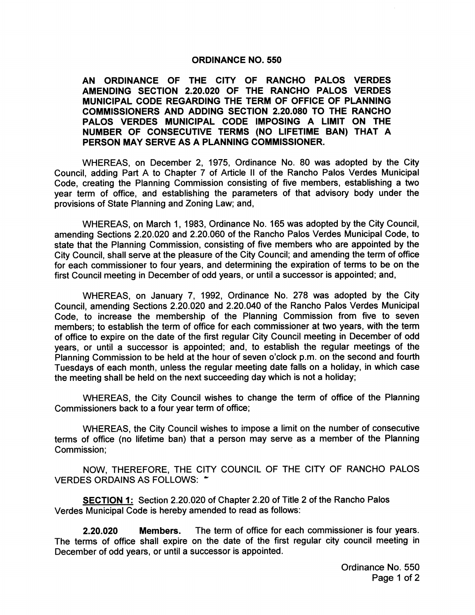## ORDINANCE NO. 550

AN ORDINANCE OF THE CITY OF RANCHO PALOS VERDES AMENDING SECTION 2.20.020 OF THE RANCHO PALOS VERDES MUNICIPAL CODE REGARDING THE TERM OF OFFICE OF PLANNING COMMISSIONERS AND ADDING SECTION 2.20.080 TO THE RANCHO PALOS VERDES MUNICIPAL CODE IMPOSING A LIMIT ON THE NUMBER OF CONSECUTIVE TERMS ( NO LIFETIME BAN) THAT A PERSON MAY SERVE AS A PLANNING COMMISSIONER.

WHEREAS, on December 2, 1975, Ordinance No. 80 was adopted by the City Council, adding Part A to Chapter <sup>7</sup> of Article II of the Rancho Palos Verdes Municipal Code, creating the Planning Commission consisting of five members, establishing a two year term of office, and establishing the parameters of that advisory body under the provisions of State Planning and Zoning Law; and,

WHEREAS, on March 1, 1983, Ordinance No. 165 was adopted by the City Council, amending Sections 2.20.020 and 2.20.060 of the Rancho Palos Verdes Municipal Code, to state that the Planning Commission, consisting of five members who are appointed by the City Council, shall serve at the pleasure of the City Council; and amending the term of office for each commissioner to four years, and determining the expiration of terms to be on the first Council meeting in December of odd years, or until <sup>a</sup> successor is appointed; and,

WHEREAS, on January 7, 1992, Ordinance No. 278 was adopted by the City Council, amending Sections 2.20.020 and 2.20.040 of the Rancho Palos Verdes Municipal Code, to increase the membership of the Planning Commission from five to seven members; to establish the term of office for each commissioner at two years, with the term of office to expire on the date of the first regular City Council meeting in December of odd years, or until a successor is appointed; and, to establish the regular meetings of the Planning Commission to be held at the hour of seven o'clock p.m. on the second and fourth Tuesdays of each month, unless the regular meeting date falls on <sup>a</sup> holiday, in which case the meeting shall be held on the next succeeding day which is not a holiday;

WHEREAS, the City Council wishes to change the term of office of the Planning Commissioners back to a four year term of office;

WHEREAS, the City Council wishes to impose <sup>a</sup> limit on the number of consecutive terms of office ( no lifetime ban) that <sup>a</sup> person may serve as <sup>a</sup> member of the Planning Commission;

NOW, THEREFORE, THE CITY COUNCIL OF THE CITY OF RANCHO PALOS VERDES ORDAINS AS FOLLOWS: "

SECTION 1: Section 2.20.020 of Chapter 2.20 of Title 2 of the Rancho Palos Verdes Municipal Code is hereby amended to read as follows:

2.20.020 Members. The term of office for each commissioner is four years. The terms of office shall expire on the date of the first regular city council meeting in December of odd years, or until a successor is appointed.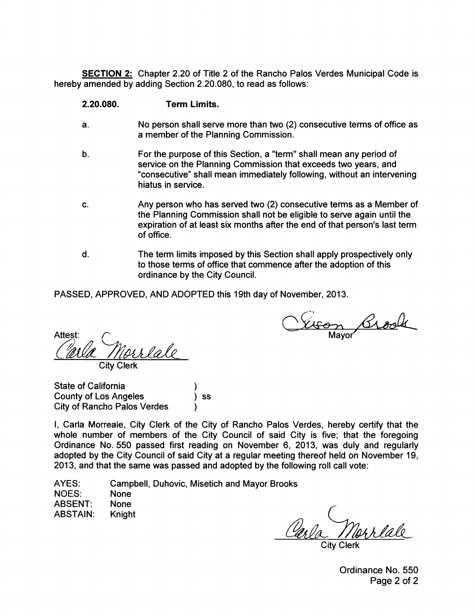SECTION 2: Chapter 2.20 of Title 2 of the Rancho Palos Verdes Municipal Code is hereby amended by adding Section 2.20.080, to read as follows:

## 2.20.080. Term Limits.

- a. No person shall serve more than two (2) consecutive terms of office as a member of the Planning Commission.
- b. For the purpose of this Section, a "term" shall mean any period of service on the Planning Commission that exceeds two years, and consecutive" shall mean immediately following, without an intervening hiatus in service.
- c. Any person who has served two (2) consecutive terms as a Member of the Planning Commission shall not be eligible to serve again until the expiration of at least six months after the end of that person's last term of office.
- d. The term limits imposed by this Section shall apply prospectively only to those terms of office that commence after the adoption of this ordinance by the City Council.

PASSED, APPROVED, AND ADOPTED this 19th day of November, 2013.

Vison Brook

<u>Norrlale</u> City Clerk

State of California State of California (3)<br>County of Los Angeles (3) ss City of Rancho Palos Verdes

I, Carla Morreale, City Clerk of the City of Rancho Palos Verdes, hereby certify that the whole number of members of the City Council of said City is five; that the foregoing Ordinance No. 550 passed first reading on November 6, 2013, was duly and regularly adopted by the City Council of said City at a regular meeting thereof held on November 19, 2013, and that the same was passed and adopted by the following roll call vote:

AYES: Campbell, Duhovic, Misetich and Mayor Brooks

NOES: None ABSENT: None ABSTAIN: Knight

Carla Marriale

City Clerk

Ordinance No. 550 Page 2 of 2